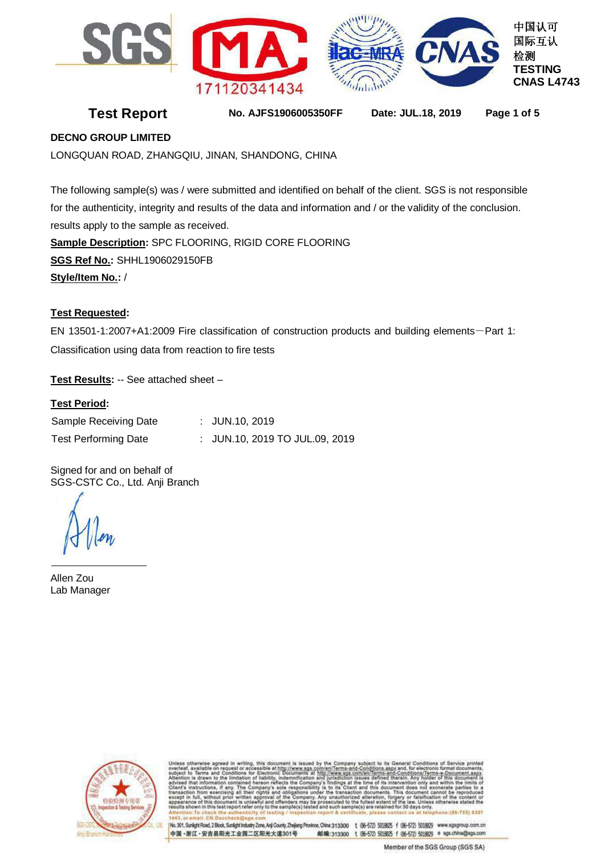

**Test Report No. AJFS1906005350FF Date: JUL.18, 2019 Page 1 of 5**

# **DECNO GROUP LIMITED**

LONGQUAN ROAD, ZHANGQIU, JINAN, SHANDONG, CHINA

The following sample(s) was / were submitted and identified on behalf of the client. SGS is not responsible for the authenticity, integrity and results of the data and information and / or the validity of the conclusion. results apply to the sample as received. **Sample Description:** SPC FLOORING, RIGID CORE FLOORING **SGS Ref No.:** SHHL1906029150FB **Style/Item No.:** /

# **Test Requested:**

EN 13501-1:2007+A1:2009 Fire classification of construction products and building elements-Part 1: Classification using data from reaction to fire tests

**Test Results:** -- See attached sheet –

# **Test Period:**

| Sample Receiving Date       | : $JUN.10, 2019$               |
|-----------------------------|--------------------------------|
| <b>Test Performing Date</b> | : JUN.10, 2019 TO JUL.09, 2019 |

Signed for and on behalf of SGS-CSTC Co., Ltd. Anji Branch

Allen Zou Lab Manager



http://www.sgs.<br>and jurisdiction com/en/Terms-and-Conditions/Terms-e-Docum i defined t<br>le of its in<br>this docu lings<br>Its C at ti only and<br>not exon

No. 301, Sunlight Road, 2 Blook, Sunlight Industry Zone, Anji County, Zhejiang Province, China 313300 t (86-572) 5018825 f (86-572) 5018829 www.sgsgroup.com.cn 中国·浙江·安吉县阳光工业园二区阳光大道301号 邮编:313300 t (86-572) 5018625 f (86-572) 5018629 e sgs.china@sgs.com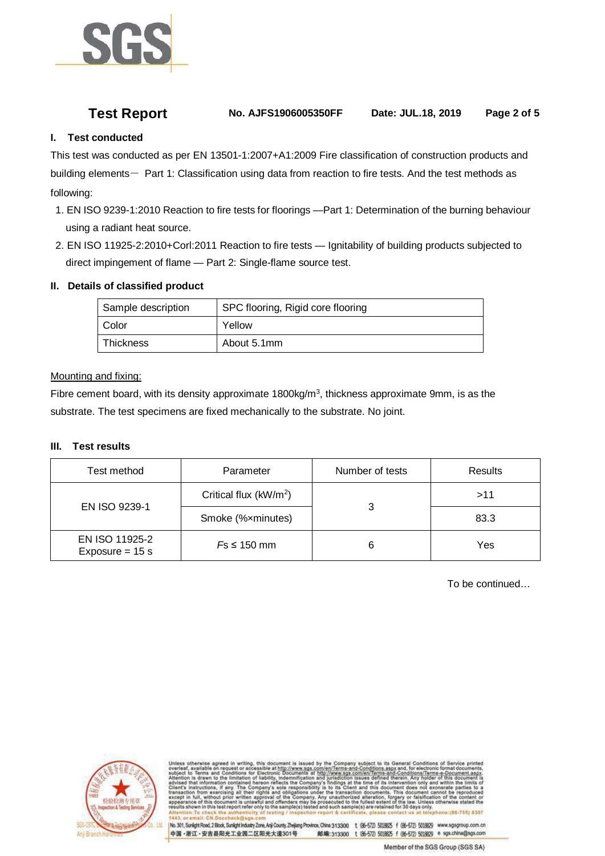

**Test Report No. AJFS1906005350FF Date: JUL.18, 2019 Page 2 of 5**

# **I. Test conducted**

This test was conducted as per EN 13501-1:2007+A1:2009 Fire classification of construction products and building elements- Part 1: Classification using data from reaction to fire tests. And the test methods as following:

- 1. EN ISO 9239-1:2010 Reaction to fire tests for floorings —Part 1: Determination of the burning behaviour using a radiant heat source.
- 2. EN ISO 11925-2:2010+Corl:2011 Reaction to fire tests Ignitability of building products subjected to direct impingement of flame — Part 2: Single-flame source test.

# **II. Details of classified product**

| Sample description | SPC flooring, Rigid core flooring |
|--------------------|-----------------------------------|
| Color              | Yellow                            |
| Thickness          | About 5.1mm                       |

## Mounting and fixing:

Fibre cement board, with its density approximate  $1800$ kg/m<sup>3</sup>, thickness approximate 9mm, is as the substrate. The test specimens are fixed mechanically to the substrate. No joint.

# **III. Test results**

| Test method                         | Parameter                          | Number of tests | Results |
|-------------------------------------|------------------------------------|-----------------|---------|
|                                     | Critical flux (kW/m <sup>2</sup> ) |                 | >11     |
| EN ISO 9239-1                       | Smoke (%xminutes)                  |                 | 83.3    |
| EN ISO 11925-2<br>Exposure = $15 s$ | $Fs \leq 150$ mm                   |                 | Yes     |

To be continued…



com/en/Terms-and-Conditions.aspx and, for electronic format do<br>Thittp://www.sgs.com/en/Terms-and-Conditions/Terms-e-Docume<br>and jurisdiction issues defined therein. Any holder of this do<br>any's findings at the time of its in me of its interv<br>I this documen only and<br>not exon

No. 301, Sunlight Road, 2 Blook, Sunlight Industry Zone, Anji County, Zhejiang Province, China 313300 1 (86-572) 5018825 f (86-572) 5018829 www.sgsgroup.com.cn 中国·浙江·安吉县阳光工业园二区阳光大道301号 邮编:313300 t (86-572) 5018625 f (86-572) 5018629 e sgs.china@sgs.com

Member of the SGS Group (SGS SA)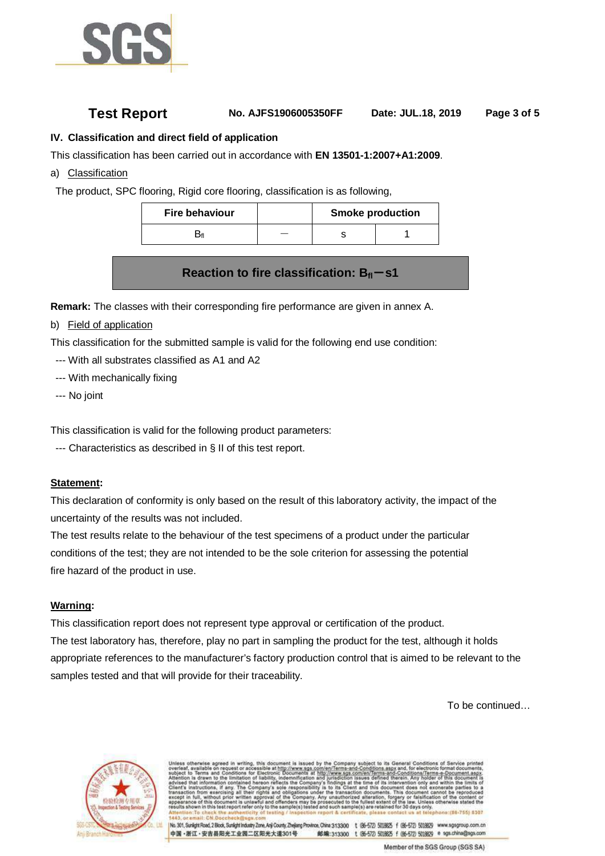

# **Test Report No. AJFS1906005350FF Date: JUL.18, 2019 Page 3 of 5**

# **IV. Classification and direct field of application**

This classification has been carried out in accordance with **EN 13501-1:2007+A1:2009**.

a) Classification

The product, SPC flooring, Rigid core flooring, classification is as following,

| <b>Fire behaviour</b> | <b>Smoke production</b> |  |  |
|-----------------------|-------------------------|--|--|
|                       |                         |  |  |

# **Reaction to fire classification: B**<sub>fl</sub>-s1

**Remark:** The classes with their corresponding fire performance are given in annex A.

b) Field of application

This classification for the submitted sample is valid for the following end use condition:

- --- With all substrates classified as A1 and A2
- --- With mechanically fixing
- --- No joint

This classification is valid for the following product parameters:

--- Characteristics as described in § II of this test report.

## **Statement:**

This declaration of conformity is only based on the result of this laboratory activity, the impact of the uncertainty of the results was not included.

The test results relate to the behaviour of the test specimens of a product under the particular conditions of the test; they are not intended to be the sole criterion for assessing the potential fire hazard of the product in use.

## **Warning:**

This classification report does not represent type approval or certification of the product. The test laboratory has, therefore, play no part in sampling the product for the test, although it holds appropriate references to the manufacturer's factory production control that is aimed to be relevant to the samples tested and that will provide for their traceability.

To be continued…



com/en/Terms-and-Conditions/Terms-e-D at the tin me of its interv<br>I this documer

No. 301, Sunkplit Road, 2 Block, Sunkplit Industry Zone, Anji County, Zheliang Province, China 313300 t (86-572) 5018825 f (86-572) 5018829 www.sgsgroup.com.cn 中国·浙江·安吉县阳光工业园二区阳光大道301号 邮编:313300 t (86-572) 5018625 f (86-572) 5018629 e sgs.china@sgs.com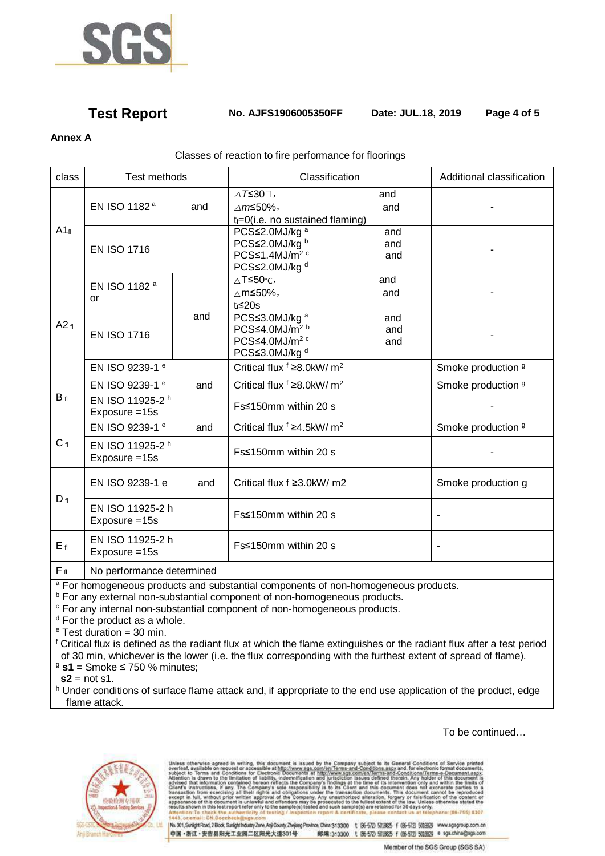

# **Test Report No. AJFS1906005350FF Date: JUL.18, 2019 Page 4 of 5**

# **Annex A**

## Classes of reaction to fire performance for floorings

| class           | <b>Test methods</b>                           |     | Classification                                                                                                             |                   | Additional classification |
|-----------------|-----------------------------------------------|-----|----------------------------------------------------------------------------------------------------------------------------|-------------------|---------------------------|
| $A1_{fl}$       | EN ISO 1182 <sup>a</sup>                      | and | $\triangle T \leq 30$ .<br>$\triangle m \le 50\%$ ,<br>$t_f = 0$ (i.e. no sustained flaming)                               | and<br>and        |                           |
|                 | <b>EN ISO 1716</b>                            |     | PCS≤2.0MJ/kg <sup>a</sup><br>PCS≤2.0MJ/kg b<br>$PCS \leq 1.4$ MJ/m <sup>2 c</sup><br>PCS≤2.0MJ/kg <sup>d</sup>             | and<br>and<br>and |                           |
| A2f             | EN ISO 1182 <sup>a</sup><br>or                |     | ∆Т≤50°с,<br>∆m≤50%,<br>$t_f \leq 20s$                                                                                      | and<br>and        |                           |
|                 | <b>EN ISO 1716</b>                            | and | PCS≤3.0MJ/kg <sup>a</sup><br>$PCS \leq 4.0$ MJ/m <sup>2 b</sup><br>PCS≤4.0MJ/m <sup>2 c</sup><br>PCS≤3.0MJ/kg <sup>d</sup> | and<br>and<br>and |                           |
|                 | EN ISO 9239-1 <sup>e</sup>                    |     | Critical flux <sup>f</sup> ≥8.0kW/ m <sup>2</sup>                                                                          |                   | Smoke production 9        |
|                 | EN ISO 9239-1 <sup>e</sup>                    | and | Critical flux $f \geq 8.0$ kW/ m <sup>2</sup>                                                                              |                   | Smoke production 9        |
| $B_{fl}$        | EN ISO 11925-2 h<br>Exposure = 15s            |     | Fs≤150mm within 20 s                                                                                                       |                   |                           |
|                 | EN ISO 9239-1 <sup>e</sup>                    | and | Critical flux $f \geq 4.5$ kW/ m <sup>2</sup>                                                                              |                   | Smoke production 9        |
| C <sub>fl</sub> | EN ISO 11925-2 <sup>h</sup><br>Exposure = 15s |     | Fs≤150mm within 20 s                                                                                                       |                   |                           |
| $D_{fl}$        | EN ISO 9239-1 e                               | and | Critical flux f ≥3.0kW/ m2                                                                                                 |                   | Smoke production g        |
|                 | EN ISO 11925-2 h<br>Exposure = 15s            |     | Fs≤150mm within 20 s                                                                                                       |                   |                           |
| $E_{fl}$        | EN ISO 11925-2 h<br>Exposure = 15s            |     | Fs≤150mm within 20 s                                                                                                       |                   | $\blacksquare$            |
| $F_{fl}$        | No performance determined                     |     |                                                                                                                            |                   |                           |

<sup>a</sup> For homogeneous products and substantial components of non-homogeneous products.

<sup>b</sup> For any external non-substantial component of non-homogeneous products.

<sup>c</sup> For any internal non-substantial component of non-homogeneous products.

<sup>d</sup> For the product as a whole.

<sup>e</sup> Test duration = 30 min.

<sup>f</sup> Critical flux is defined as the radiant flux at which the flame extinguishes or the radiant flux after a test period of 30 min, whichever is the lower (i.e. the flux corresponding with the furthest extent of spread of flame). <sup>9</sup> **s1** = Smoke ≤ 750 % minutes;

 $s2$  = not s1.

h Under conditions of surface flame attack and, if appropriate to the end use application of the product, edge flame attack.

To be continued…



therwise agreed in writing, this document is issued by the Company subject to its General Conditions of Sarvice printed<br>ovariable on request or accessible at http://www.sps.com/en/Terms-and-Conditions.appx and, for electro authorized alterative Iteration, forgery or falsifications<br>lilest extent of the law. Unless<br>are retained for 30 days only. ne Com<br>nders m<br>mnle/e) nt is un ay be pr

No. 301, Sunlight Road, 2 Block, Sunlight Industry Zone, Anji County, Zhejiang Province, China 313300 t (86-572 5018825 f (86-572) 5018829 www.sgsgroup.com.cn 中国·浙江·安吉县阳光工业园二区阳光大道301号 邮编:313300 t (85-572) 5018625 f (86-572) 5018629 e sgs.china@sgs.com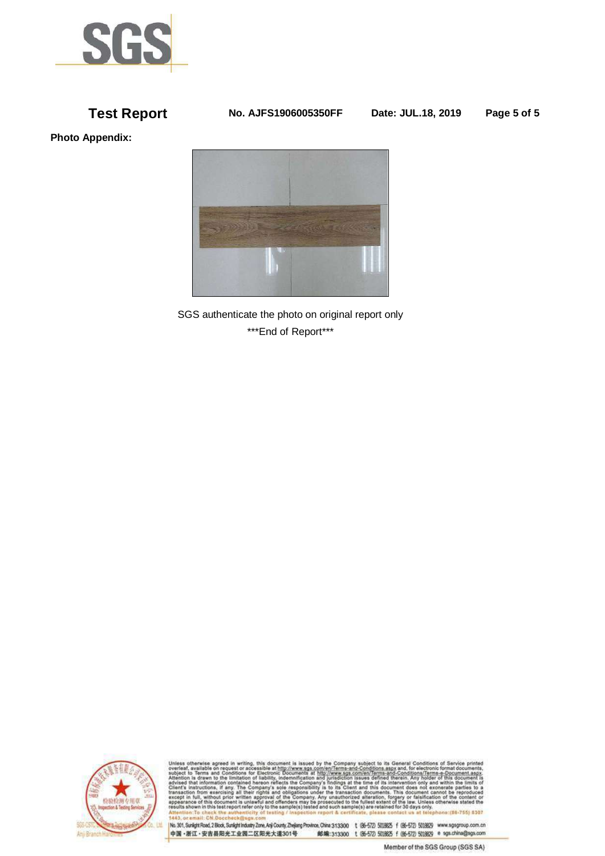

**Test Report No. AJFS1906005350FF Date: JUL.18, 2019 Page 5 of 5**

**Photo Appendix:** 



SGS authenticate the photo on original report only \*\*\*End of Report\*\*\*



Unless otherwise agreed in writing, this document is issued by the Company subject to its General Conditions of Service printed<br>overled in Terms and Conditions agreed as the company subject to its General Conditions and t **UNE YERLATOY** 

[No. 301, Sunlight Road, 2 Blook, Sunlight Industry Zone, Anji County, Zhejiang Province, China 313300 t (86-572) 5018625 f (86-572) 5018629 www.sgsgroup.com.cn 邮编:313300 t (86-572 5018625 f (86-572 5018629 e sgs.china@sgs.com 中国·浙江·安吉县阳光工业园二区阳光大道301号

Member of the SGS Group (SGS SA)